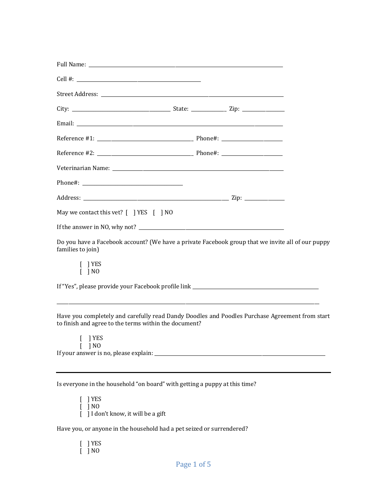| May we contact this vet? [ ] YES [ ] NO                                                                                                                 |  |
|---------------------------------------------------------------------------------------------------------------------------------------------------------|--|
|                                                                                                                                                         |  |
| Do you have a Facebook account? (We have a private Facebook group that we invite all of our puppy<br>families to join)                                  |  |
| $\lceil$   YES<br>$\lceil$   NO                                                                                                                         |  |
|                                                                                                                                                         |  |
| Have you completely and carefully read Dandy Doodles and Poodles Purchase Agreement from start<br>to finish and agree to the terms within the document? |  |
| $\lceil$   YES<br>] NO                                                                                                                                  |  |
|                                                                                                                                                         |  |
| Is everyone in the household "on board" with getting a puppy at this time?                                                                              |  |

 $[$  ] YES  $[$   $]$  NO [ ] I don't know, it will be a gift

Have you, or anyone in the household had a pet seized or surrendered?

 $\lceil$  | YES  $[$  ] NO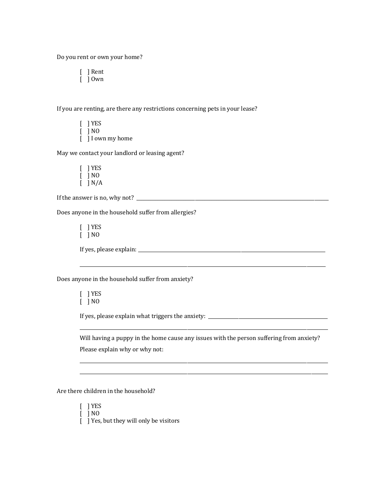Do you rent or own your home?

[ ] Rent  $\begin{bmatrix} 1 & 0 \\ 0 & 0 \end{bmatrix}$ 

If you are renting, are there any restrictions concerning pets in your lease?

 $[$  ] YES  $\lceil$   $\rceil$  NO [  $\Box$  I own my home

May we contact your landlord or leasing agent?

 $\lceil$   $\rceil$  YES  $[$  ] NO  $\overline{[}$   $\overline{]}$  N/A

If the answer is no, why not?  $\frac{1}{2}$   $\frac{1}{2}$   $\frac{1}{2}$   $\frac{1}{2}$   $\frac{1}{2}$   $\frac{1}{2}$   $\frac{1}{2}$   $\frac{1}{2}$   $\frac{1}{2}$   $\frac{1}{2}$   $\frac{1}{2}$   $\frac{1}{2}$   $\frac{1}{2}$   $\frac{1}{2}$   $\frac{1}{2}$   $\frac{1}{2}$   $\frac{1}{2}$   $\frac{1}{2}$   $\frac{1}{2}$ 

Does anyone in the household suffer from allergies?

[ ] YES  $\lceil$   $\rceil$  NO

If yes, please explain: \_\_\_\_\_\_\_\_\_\_\_\_\_\_\_\_\_\_\_\_\_\_\_\_\_\_\_\_\_\_\_\_\_\_\_\_\_\_\_\_\_\_\_\_\_\_\_\_\_\_\_\_\_\_\_\_\_\_\_\_\_\_\_\_\_\_\_\_\_\_\_\_\_\_\_\_\_\_\_\_

Does anyone in the household suffer from anxiety?

[ ] YES  $[$  ] NO

If yes, please explain what triggers the anxiety: \_\_\_\_\_\_\_\_\_\_\_\_\_\_\_\_\_\_\_\_\_\_\_\_\_\_\_\_\_\_\_\_\_\_\_\_\_\_\_\_\_\_\_\_\_\_\_\_\_\_\_

Will having a puppy in the home cause any issues with the person suffering from anxiety? Please explain why or why not:

\_\_\_\_\_\_\_\_\_\_\_\_\_\_\_\_\_\_\_\_\_\_\_\_\_\_\_\_\_\_\_\_\_\_\_\_\_\_\_\_\_\_\_\_\_\_\_\_\_\_\_\_\_\_\_\_\_\_\_\_\_\_\_\_\_\_\_\_\_\_\_\_\_\_\_\_\_\_\_\_\_\_\_\_\_\_\_\_\_\_\_\_\_\_\_\_\_\_\_\_\_\_\_\_\_\_

\_\_\_\_\_\_\_\_\_\_\_\_\_\_\_\_\_\_\_\_\_\_\_\_\_\_\_\_\_\_\_\_\_\_\_\_\_\_\_\_\_\_\_\_\_\_\_\_\_\_\_\_\_\_\_\_\_\_\_\_\_\_\_\_\_\_\_\_\_\_\_\_\_\_\_\_\_\_\_\_\_\_\_\_\_\_\_\_\_\_\_\_\_\_\_\_\_\_\_\_\_\_\_\_\_\_ \_\_\_\_\_\_\_\_\_\_\_\_\_\_\_\_\_\_\_\_\_\_\_\_\_\_\_\_\_\_\_\_\_\_\_\_\_\_\_\_\_\_\_\_\_\_\_\_\_\_\_\_\_\_\_\_\_\_\_\_\_\_\_\_\_\_\_\_\_\_\_\_\_\_\_\_\_\_\_\_\_\_\_\_\_\_\_\_\_\_\_\_\_\_\_\_\_\_\_\_\_\_\_\_\_\_

\_\_\_\_\_\_\_\_\_\_\_\_\_\_\_\_\_\_\_\_\_\_\_\_\_\_\_\_\_\_\_\_\_\_\_\_\_\_\_\_\_\_\_\_\_\_\_\_\_\_\_\_\_\_\_\_\_\_\_\_\_\_\_\_\_\_\_\_\_\_\_\_\_\_\_\_\_\_\_\_\_\_\_\_\_\_\_\_\_\_\_\_\_\_\_\_\_\_\_\_\_\_\_\_\_

Are there children in the household?

[ ] YES  $\begin{bmatrix} 1 \\ 1 \end{bmatrix}$  NO

 $\begin{bmatrix} 1 \end{bmatrix}$  Yes, but they will only be visitors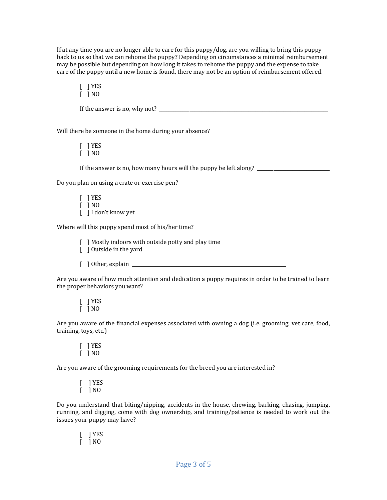If at any time you are no longer able to care for this  $\frac{p}{p}$  are you willing to bring this puppy back to us so that we can rehome the puppy? Depending on circumstances a minimal reimbursement may be possible but depending on how long it takes to rehome the puppy and the expense to take care of the puppy until a new home is found, there may not be an option of reimbursement offered.

[ ] YES  $\lceil$   $\rceil$  NO

If the answer is no, why not?  $\Box$ 

Will there be someone in the home during your absence?

[ ] YES  $\overline{1}$   $\overline{1}$  NO

If the answer is no, how many hours will the puppy be left along?

Do you plan on using a crate or exercise pen?

 $\lceil$   $\rceil$  YES  $\lceil$   $\rceil$  NO [  $\vert$  ] I don't know yet

Where will this puppy spend most of his/her time?

[  $\Box$ ] Mostly indoors with outside potty and play time

- $\overline{)}$   $\overline{)}$  Outside in the yard
- $\left[\begin{array}{c} \end{array}\right]$  Other, explain  $\Box$

Are you aware of how much attention and dedication a puppy requires in order to be trained to learn the proper behaviors you want?

 $[$  ] YES  $[$   $]$   $N0$ 

Are you aware of the financial expenses associated with owning a dog (i.e. grooming, vet care, food, training, toys, etc.)

 $\lceil$  | YES  $\lceil$   $\rceil$  NO

Are you aware of the grooming requirements for the breed you are interested in?

[ ] YES  $\overline{1}$   $\overline{1}$  NO

Do you understand that biting/nipping, accidents in the house, chewing, barking, chasing, jumping, running, and digging, come with dog ownership, and training/patience is needed to work out the issues your puppy may have?

[ ] YES  $\lceil$   $\rceil$  NO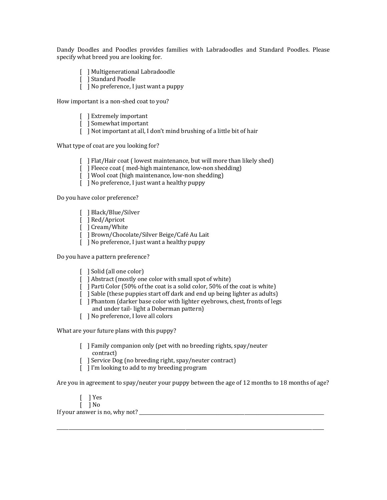Dandy Doodles and Poodles provides families with Labradoodles and Standard Poodles. Please specify what breed you are looking for.

- [ ] Multigenerational Labradoodle
- [ ] Standard Poodle
- $\begin{bmatrix} \end{bmatrix}$  No preference, I just want a puppy

How important is a non-shed coat to you?

- [ ] Extremely important
- [ ] Somewhat important
- [ ] Not important at all, I don't mind brushing of a little bit of hair

What type of coat are you looking for?

- [ ] Flat/Hair coat (lowest maintenance, but will more than likely shed)
- $\begin{bmatrix} \ \ \end{bmatrix}$  Fleece coat (med-high maintenance, low-non shedding)
- [ ] Wool coat (high maintenance, low-non shedding)
- $\begin{bmatrix} 1 \end{bmatrix}$  No preference, I just want a healthy puppy

Do you have color preference?

- [ ] Black/Blue/Silver
- [ ] Red/Apricot
- [ ] Cream/White
- [ ] Brown/Chocolate/Silver Beige/Café Au Lait
- [  $\vert$  No preference, I just want a healthy puppy

Do you have a pattern preference?

- [ ] Solid (all one color)
- [ ] Abstract (mostly one color with small spot of white)
- $\lceil$  ] Parti Color (50% of the coat is a solid color, 50% of the coat is white)
- [ ] Sable (these puppies start off dark and end up being lighter as adults)
- [ ] Phantom (darker base color with lighter eyebrows, chest, fronts of legs and under tail- light a Doberman pattern)
- [ ] No preference, I love all colors

What are your future plans with this puppy?

- $\lceil$  ] Family companion only (pet with no breeding rights, spay/neuter contract)
- $\lceil$  Service Dog (no breeding right, spay/neuter contract)
- [  $\mid$   $\mid$  I'm looking to add to my breeding program

Are you in agreement to spay/neuter your puppy between the age of 12 months to 18 months of age?

\_\_\_\_\_\_\_\_\_\_\_\_\_\_\_\_\_\_\_\_\_\_\_\_\_\_\_\_\_\_\_\_\_\_\_\_\_\_\_\_\_\_\_\_\_\_\_\_\_\_\_\_\_\_\_\_\_\_\_\_\_\_\_\_\_\_\_\_\_\_\_\_\_\_\_\_\_\_\_\_\_\_\_\_\_\_\_\_\_\_\_\_\_\_\_\_\_\_\_\_\_\_\_\_\_\_\_\_\_\_\_\_\_\_

- $\lceil \ \ \rceil$  Yes
- $\begin{bmatrix} \end{bmatrix}$  No

If your answer is no, why not? \_\_\_\_\_\_\_\_\_\_\_\_\_\_\_\_\_\_\_\_\_\_\_\_\_\_\_\_\_\_\_\_\_\_\_\_\_\_\_\_\_\_\_\_\_\_\_\_\_\_\_\_\_\_\_\_\_\_\_\_\_\_\_\_\_\_\_\_\_\_\_\_\_\_\_\_\_\_\_